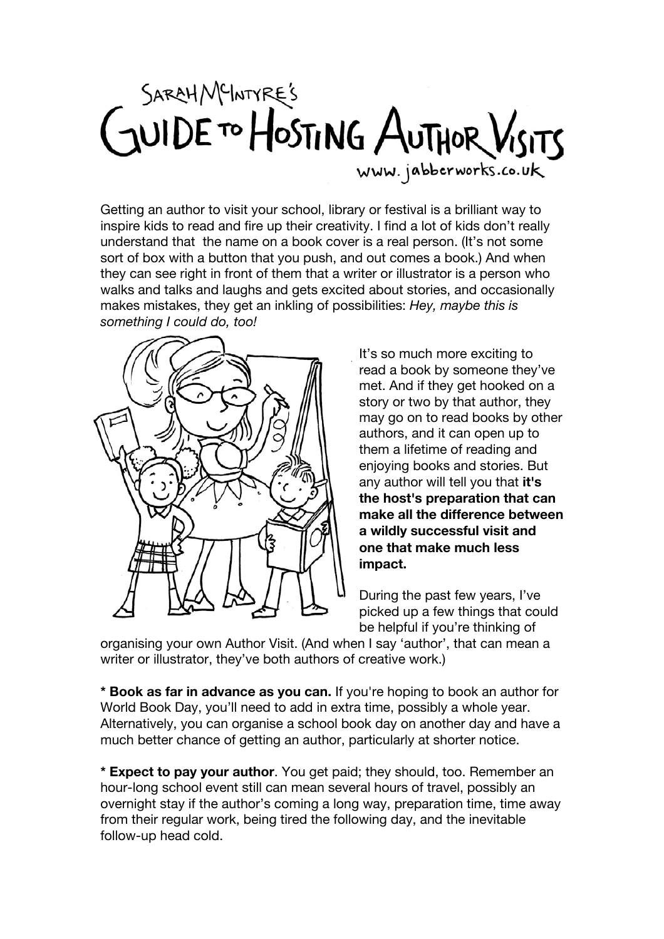## SARAH MEINTYRE'S<br>GUIDE TO HOSTING AUTHOR VISITS www.jabberworks.co.uk

Getting an author to visit your school, library or festival is a brilliant way to inspire kids to read and fire up their creativity. I find a lot of kids don't really understand that the name on a book cover is a real person. (It's not some sort of box with a button that you push, and out comes a book.) And when they can see right in front of them that a writer or illustrator is a person who walks and talks and laughs and gets excited about stories, and occasionally makes mistakes, they get an inkling of possibilities: *Hey, maybe this is something I could do, too!*



It's so much more exciting to read a book by someone they've met. And if they get hooked on a story or two by that author, they may go on to read books by other authors, and it can open up to them a lifetime of reading and enjoying books and stories. But any author will tell you that **it's the host's preparation that can make all the difference between a wildly successful visit and one that make much less impact.**

During the past few years, I've picked up a few things that could be helpful if you're thinking of

organising your own Author Visit. (And when I say 'author', that can mean a writer or illustrator, they've both authors of creative work.)

**\* Book as far in advance as you can.** If you're hoping to book an author for World Book Day, you'll need to add in extra time, possibly a whole year. Alternatively, you can organise a school book day on another day and have a much better chance of getting an author, particularly at shorter notice.

**\* Expect to pay your author**. You get paid; they should, too. Remember an hour-long school event still can mean several hours of travel, possibly an overnight stay if the author's coming a long way, preparation time, time away from their regular work, being tired the following day, and the inevitable follow-up head cold.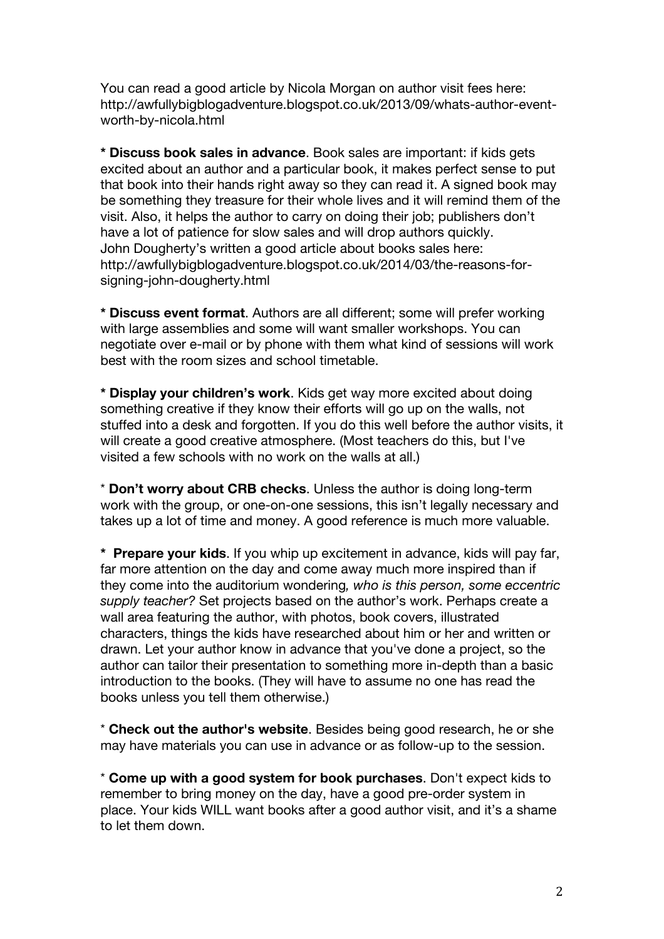You can read a good article by Nicola Morgan on author visit fees here: http://awfullybigblogadventure.blogspot.co.uk/2013/09/whats-author-eventworth-by-nicola.html

**\* Discuss book sales in advance**. Book sales are important: if kids gets excited about an author and a particular book, it makes perfect sense to put that book into their hands right away so they can read it. A signed book may be something they treasure for their whole lives and it will remind them of the visit. Also, it helps the author to carry on doing their job; publishers don't have a lot of patience for slow sales and will drop authors quickly. John Dougherty's written a good article about books sales here: http://awfullybigblogadventure.blogspot.co.uk/2014/03/the-reasons-forsigning-john-dougherty.html

**\* Discuss event format**. Authors are all different; some will prefer working with large assemblies and some will want smaller workshops. You can negotiate over e-mail or by phone with them what kind of sessions will work best with the room sizes and school timetable.

**\* Display your children's work**. Kids get way more excited about doing something creative if they know their efforts will go up on the walls, not stuffed into a desk and forgotten. If you do this well before the author visits, it will create a good creative atmosphere. (Most teachers do this, but I've visited a few schools with no work on the walls at all.)

\* **Don't worry about CRB checks**. Unless the author is doing long-term work with the group, or one-on-one sessions, this isn't legally necessary and takes up a lot of time and money. A good reference is much more valuable.

**\* Prepare your kids**. If you whip up excitement in advance, kids will pay far, far more attention on the day and come away much more inspired than if they come into the auditorium wondering*, who is this person, some eccentric supply teacher?* Set projects based on the author's work. Perhaps create a wall area featuring the author, with photos, book covers, illustrated characters, things the kids have researched about him or her and written or drawn. Let your author know in advance that you've done a project, so the author can tailor their presentation to something more in-depth than a basic introduction to the books. (They will have to assume no one has read the books unless you tell them otherwise.)

\* **Check out the author's website**. Besides being good research, he or she may have materials you can use in advance or as follow-up to the session.

\* **Come up with a good system for book purchases**. Don't expect kids to remember to bring money on the day, have a good pre-order system in place. Your kids WILL want books after a good author visit, and it's a shame to let them down.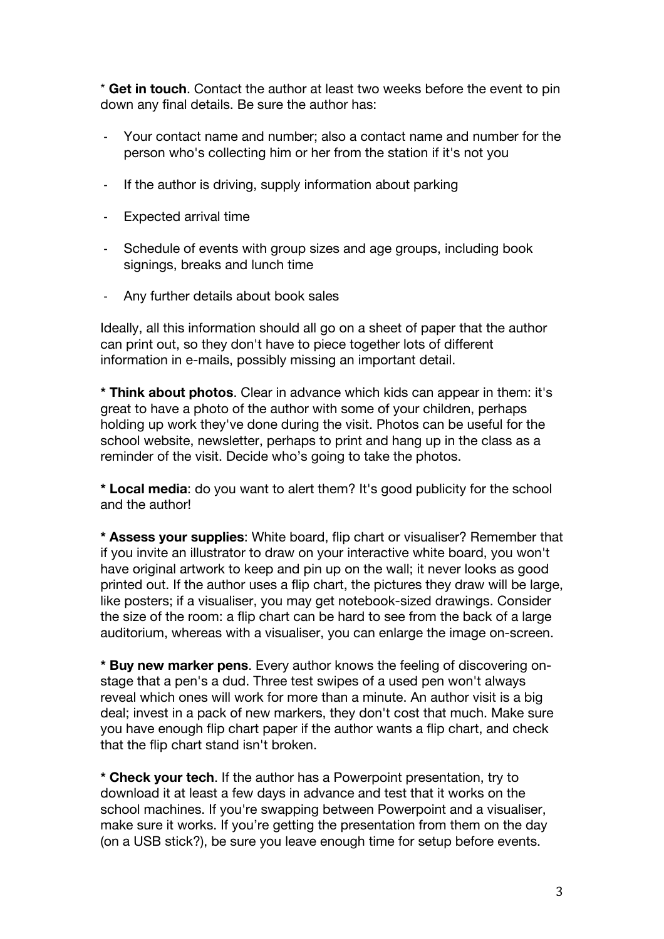\* **Get in touch**. Contact the author at least two weeks before the event to pin down any final details. Be sure the author has:

- Your contact name and number; also a contact name and number for the person who's collecting him or her from the station if it's not you
- If the author is driving, supply information about parking
- -‐ Expected arrival time
- Schedule of events with group sizes and age groups, including book signings, breaks and lunch time
- Any further details about book sales

Ideally, all this information should all go on a sheet of paper that the author can print out, so they don't have to piece together lots of different information in e-mails, possibly missing an important detail.

**\* Think about photos**. Clear in advance which kids can appear in them: it's great to have a photo of the author with some of your children, perhaps holding up work they've done during the visit. Photos can be useful for the school website, newsletter, perhaps to print and hang up in the class as a reminder of the visit. Decide who's going to take the photos.

**\* Local media**: do you want to alert them? It's good publicity for the school and the author!

**\* Assess your supplies**: White board, flip chart or visualiser? Remember that if you invite an illustrator to draw on your interactive white board, you won't have original artwork to keep and pin up on the wall; it never looks as good printed out. If the author uses a flip chart, the pictures they draw will be large, like posters; if a visualiser, you may get notebook-sized drawings. Consider the size of the room: a flip chart can be hard to see from the back of a large auditorium, whereas with a visualiser, you can enlarge the image on-screen.

**\* Buy new marker pens**. Every author knows the feeling of discovering onstage that a pen's a dud. Three test swipes of a used pen won't always reveal which ones will work for more than a minute. An author visit is a big deal; invest in a pack of new markers, they don't cost that much. Make sure you have enough flip chart paper if the author wants a flip chart, and check that the flip chart stand isn't broken.

**\* Check your tech**. If the author has a Powerpoint presentation, try to download it at least a few days in advance and test that it works on the school machines. If you're swapping between Powerpoint and a visualiser, make sure it works. If you're getting the presentation from them on the day (on a USB stick?), be sure you leave enough time for setup before events.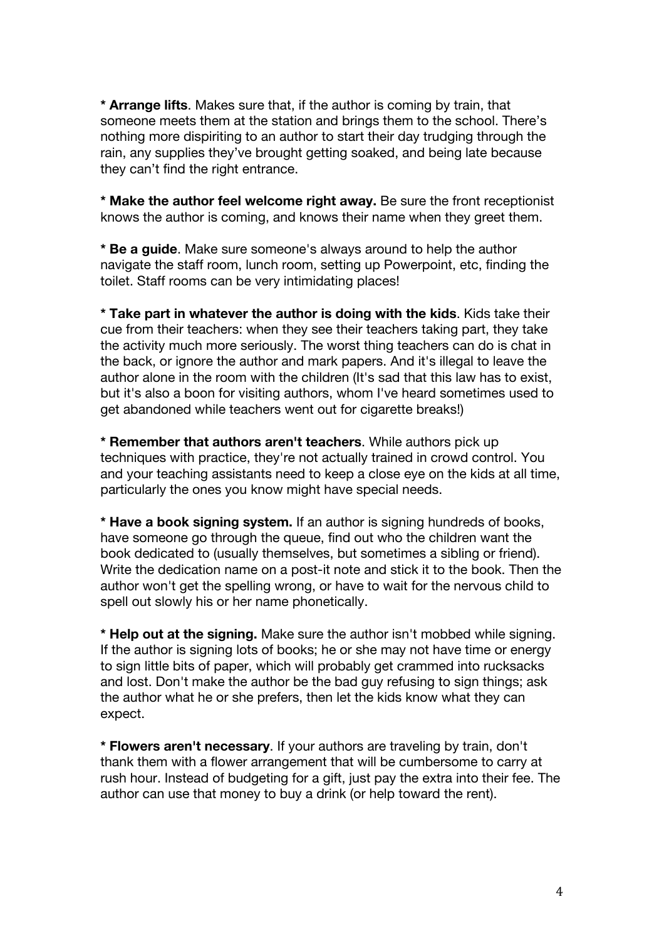**\* Arrange lifts**. Makes sure that, if the author is coming by train, that someone meets them at the station and brings them to the school. There's nothing more dispiriting to an author to start their day trudging through the rain, any supplies they've brought getting soaked, and being late because they can't find the right entrance.

**\* Make the author feel welcome right away.** Be sure the front receptionist knows the author is coming, and knows their name when they greet them.

**\* Be a guide**. Make sure someone's always around to help the author navigate the staff room, lunch room, setting up Powerpoint, etc, finding the toilet. Staff rooms can be very intimidating places!

**\* Take part in whatever the author is doing with the kids**. Kids take their cue from their teachers: when they see their teachers taking part, they take the activity much more seriously. The worst thing teachers can do is chat in the back, or ignore the author and mark papers. And it's illegal to leave the author alone in the room with the children (It's sad that this law has to exist, but it's also a boon for visiting authors, whom I've heard sometimes used to get abandoned while teachers went out for cigarette breaks!)

**\* Remember that authors aren't teachers**. While authors pick up techniques with practice, they're not actually trained in crowd control. You and your teaching assistants need to keep a close eye on the kids at all time, particularly the ones you know might have special needs.

**\* Have a book signing system.** If an author is signing hundreds of books, have someone go through the queue, find out who the children want the book dedicated to (usually themselves, but sometimes a sibling or friend). Write the dedication name on a post-it note and stick it to the book. Then the author won't get the spelling wrong, or have to wait for the nervous child to spell out slowly his or her name phonetically.

**\* Help out at the signing.** Make sure the author isn't mobbed while signing. If the author is signing lots of books; he or she may not have time or energy to sign little bits of paper, which will probably get crammed into rucksacks and lost. Don't make the author be the bad guy refusing to sign things; ask the author what he or she prefers, then let the kids know what they can expect.

**\* Flowers aren't necessary**. If your authors are traveling by train, don't thank them with a flower arrangement that will be cumbersome to carry at rush hour. Instead of budgeting for a gift, just pay the extra into their fee. The author can use that money to buy a drink (or help toward the rent).